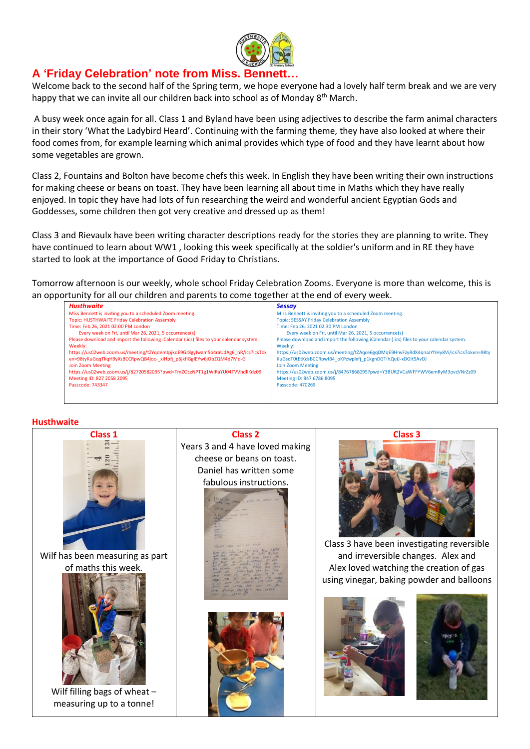

# **A 'Friday Celebration' note from Miss. Bennett…**

Welcome back to the second half of the Spring term, we hope everyone had a lovely half term break and we are very happy that we can invite all our children back into school as of Monday 8<sup>th</sup> March.

A busy week once again for all. Class 1 and Byland have been using adjectives to describe the farm animal characters in their story 'What the Ladybird Heard'. Continuing with the farming theme, they have also looked at where their food comes from, for example learning which animal provides which type of food and they have learnt about how some vegetables are grown.

Class 2, Fountains and Bolton have become chefs this week. In English they have been writing their own instructions for making cheese or beans on toast. They have been learning all about time in Maths which they have really enjoyed. In topic they have had lots of fun researching the weird and wonderful ancient Egyptian Gods and Goddesses, some children then got very creative and dressed up as them!

Class 3 and Rievaulx have been writing character descriptions ready for the stories they are planning to write. They have continued to learn about WW1 , looking this week specifically at the soldier's uniform and in RE they have started to look at the importance of Good Friday to Christians.

Tomorrow afternoon is our weekly, whole school Friday Celebration Zooms. Everyone is more than welcome, this is an opportunity for all our children and parents to come together at the end of every week.

| <b>Husthwaite</b>                                                                        | <b>Sessay</b>                                                                            |
|------------------------------------------------------------------------------------------|------------------------------------------------------------------------------------------|
| Miss Bennett is inviting you to a scheduled Zoom meeting.                                | Miss Bennett is inviting you to a scheduled Zoom meeting.                                |
| Topic: HUSTHWAITE Friday Celebration Assembly                                            | <b>Topic: SESSAY Friday Celebration Assembly</b>                                         |
| Time: Feb 26, 2021 02:00 PM London                                                       | Time: Feb 26, 2021 02:30 PM London                                                       |
| Every week on Fri, until Mar 26, 2021, 5 occurrence(s)                                   | Every week on Fri, until Mar 26, 2021, 5 occurrence(s)                                   |
| Please download and import the following iCalendar (.ics) files to your calendar system. | Please download and import the following iCalendar (.ics) files to your calendar system. |
| Weekly:                                                                                  | Weekly:                                                                                  |
| https://us02web.zoom.us/meeting/tZYqdemtpjkqE9Gr8gyIwam5o4raUdAg6_nR/ics?icsTok          | https://us02web.zoom.us/meeting/tZAqce6gqDMqE9HnvFzyRdX4qnaJYfrHy8Vi/ics?icsToken=98ty   |
| en=98tyKuGqqTkqH9yXsBCCRpwQB4joc-xiHpfj p6jkfiGglEYw6jObZQM4d7Md-G                       | KuGsqT0tEtKdsBCCRpwIB4_oKPzwplxfj_p1kgnDGTlhZjuiJ-xDGIt5AvDJ                             |
| Join Zoom Meeting                                                                        | Join Zoom Meeting                                                                        |
| https://us02web.zoom.us/j/82720582095?pwd=TmZOczNPT1g1WlRaYU04TVVhdllKdz09               | https://us02web.zoom.us/i/84767868095?pwd=Y3BUR2VCaWFFYWV6emRvM3ovcVNrZz09               |
| Meeting ID: 827 2058 2095                                                                | Meeting ID: 847 6786 8095                                                                |
| Passcode: 743347                                                                         | Passcode: 470269                                                                         |
|                                                                                          |                                                                                          |
|                                                                                          |                                                                                          |

## **Husthwaite**

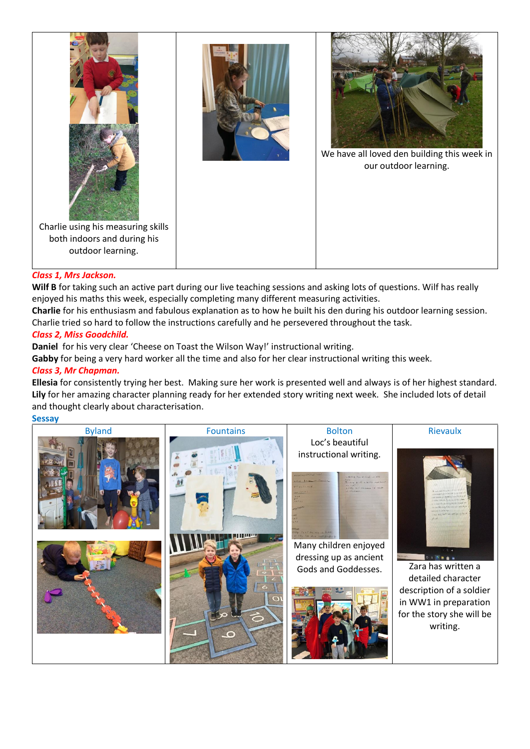

# *Class 1, Mrs Jackson.*

**Wilf B** for taking such an active part during our live teaching sessions and asking lots of questions. Wilf has really enjoyed his maths this week, especially completing many different measuring activities.

**Charlie** for his enthusiasm and fabulous explanation as to how he built his den during his outdoor learning session. Charlie tried so hard to follow the instructions carefully and he persevered throughout the task.

# *Class 2, Miss Goodchild.*

**Daniel** for his very clear 'Cheese on Toast the Wilson Way!' instructional writing.

**Gabby** for being a very hard worker all the time and also for her clear instructional writing this week.

# *Class 3, Mr Chapman.*

**Ellesia** for consistently trying her best. Making sure her work is presented well and always is of her highest standard. **Lily** for her amazing character planning ready for her extended story writing next week. She included lots of detail and thought clearly about characterisation.

# **Sessay**

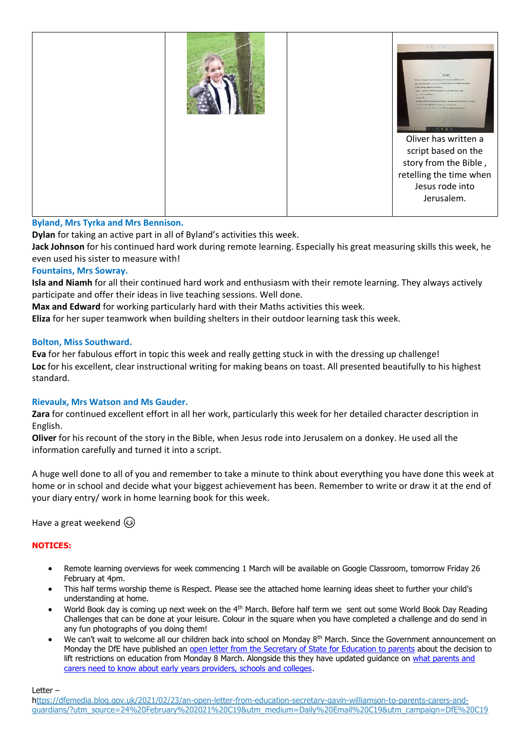

# **Byland, Mrs Tyrka and Mrs Bennison.**

**Dylan** for taking an active part in all of Byland's activities this week.

**Jack Johnson** for his continued hard work during remote learning. Especially his great measuring skills this week, he even used his sister to measure with!

## **Fountains, Mrs Sowray.**

**Isla and Niamh** for all their continued hard work and enthusiasm with their remote learning. They always actively participate and offer their ideas in live teaching sessions. Well done.

**Max and Edward** for working particularly hard with their Maths activities this week.

**Eliza** for her super teamwork when building shelters in their outdoor learning task this week.

#### **Bolton, Miss Southward.**

**Eva** for her fabulous effort in topic this week and really getting stuck in with the dressing up challenge! **Loc** for his excellent, clear instructional writing for making beans on toast. All presented beautifully to his highest standard.

## **Rievaulx, Mrs Watson and Ms Gauder.**

**Zara** for continued excellent effort in all her work, particularly this week for her detailed character description in English.

**Oliver** for his recount of the story in the Bible, when Jesus rode into Jerusalem on a donkey. He used all the information carefully and turned it into a script.

A huge well done to all of you and remember to take a minute to think about everything you have done this week at home or in school and decide what your biggest achievement has been. Remember to write or draw it at the end of your diary entry/ work in home learning book for this week.

Have a great weekend

## **NOTICES:**

- Remote learning overviews for week commencing 1 March will be available on Google Classroom, tomorrow Friday 26 February at 4pm.
- This half terms worship theme is Respect. Please see the attached home learning ideas sheet to further your child's understanding at home.
- World Book day is coming up next week on the 4th March. Before half term we sent out some World Book Day Reading Challenges that can be done at your leisure. Colour in the square when you have completed a challenge and do send in any fun photographs of you doing them!
- We can't wait to welcome all our children back into school on Monday  $8<sup>th</sup>$  March. Since the Government announcement on Monday the DfE have published an [open letter from the Secretary of State for Education to parents](https://dfemedia.blog.gov.uk/2021/02/23/an-open-letter-from-education-secretary-gavin-williamson-to-parents-carers-and-guardians/?utm_source=24%20February%202021%20C19&utm_medium=Daily%20Email%20C19&utm_campaign=DfE%20C19) about the decision to lift restrictions on education from Monday 8 March. Alongside this they have updated quidance on what parents and [carers need to know about early years providers, schools and colleges.](https://www.gov.uk/government/publications/what-parents-and-carers-need-to-know-about-early-years-providers-schools-and-colleges-during-the-coronavirus-covid-19-outbreak?utm_source=24%20February%202021%20C19&utm_medium=Daily%20Email%20C19&utm_campaign=DfE%20C19)

Letter –